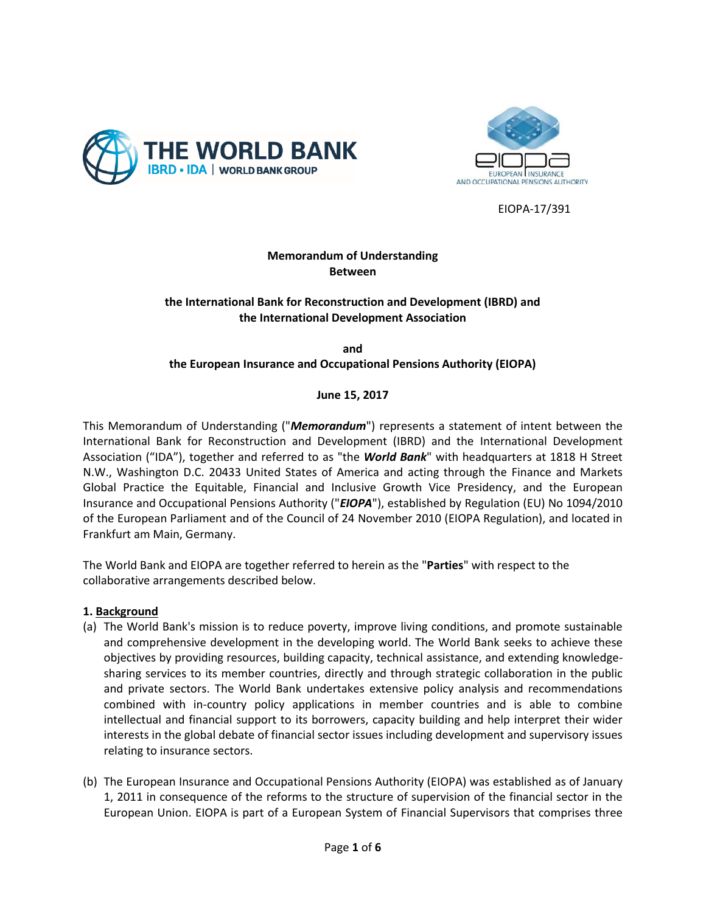



EIOPA-17/391

# **Memorandum of Understanding Between**

## **the International Bank for Reconstruction and Development (IBRD) and the International Development Association**

**and the European Insurance and Occupational Pensions Authority (EIOPA)**

**June 15, 2017**

This Memorandum of Understanding ("*Memorandum*") represents a statement of intent between the International Bank for Reconstruction and Development (IBRD) and the International Development Association ("IDA"), together and referred to as "the *World Bank*" with headquarters at 1818 H Street N.W., Washington D.C. 20433 United States of America and acting through the Finance and Markets Global Practice the Equitable, Financial and Inclusive Growth Vice Presidency, and the European Insurance and Occupational Pensions Authority ("*EIOPA*"), established by Regulation (EU) No 1094/2010 of the European Parliament and of the Council of 24 November 2010 (EIOPA Regulation), and located in Frankfurt am Main, Germany.

The World Bank and EIOPA are together referred to herein as the "**Parties**" with respect to the collaborative arrangements described below.

# **1. Background**

- (a) The World Bank's mission is to reduce poverty, improve living conditions, and promote sustainable and comprehensive development in the developing world. The World Bank seeks to achieve these objectives by providing resources, building capacity, technical assistance, and extending knowledgesharing services to its member countries, directly and through strategic collaboration in the public and private sectors. The World Bank undertakes extensive policy analysis and recommendations combined with in-country policy applications in member countries and is able to combine intellectual and financial support to its borrowers, capacity building and help interpret their wider interests in the global debate of financial sector issues including development and supervisory issues relating to insurance sectors.
- (b) The European Insurance and Occupational Pensions Authority (EIOPA) was established as of January 1, 2011 in consequence of the reforms to the structure of supervision of the financial sector in the European Union. EIOPA is part of a European System of Financial Supervisors that comprises three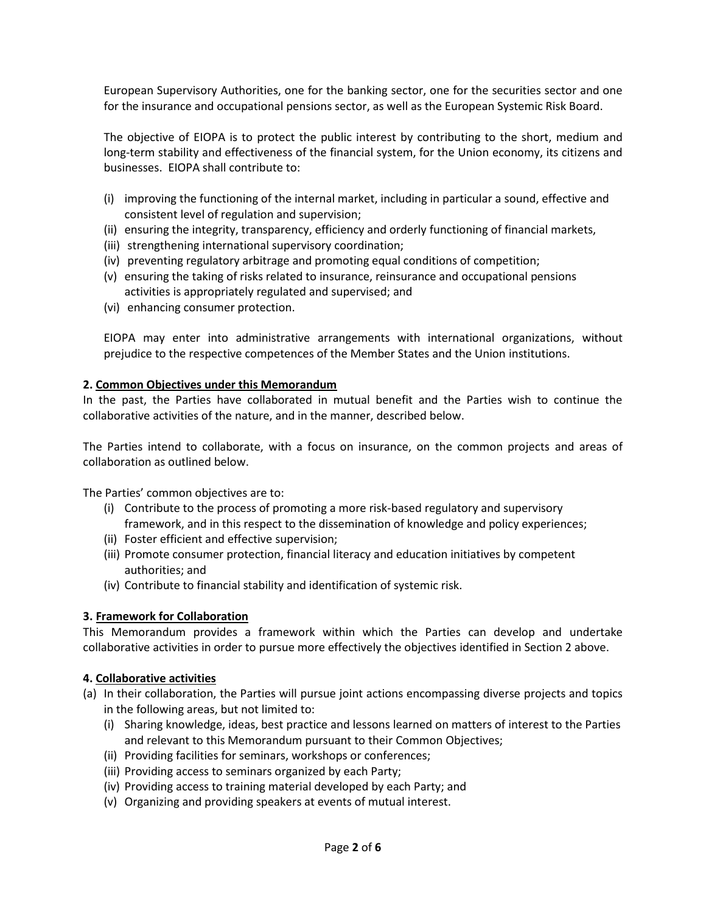European Supervisory Authorities, one for the banking sector, one for the securities sector and one for the insurance and occupational pensions sector, as well as the European Systemic Risk Board.

The objective of EIOPA is to protect the public interest by contributing to the short, medium and long-term stability and effectiveness of the financial system, for the Union economy, its citizens and businesses. EIOPA shall contribute to:

- (i) improving the functioning of the internal market, including in particular a sound, effective and consistent level of regulation and supervision;
- (ii) ensuring the integrity, transparency, efficiency and orderly functioning of financial markets,
- (iii) strengthening international supervisory coordination;
- (iv) preventing regulatory arbitrage and promoting equal conditions of competition;
- (v) ensuring the taking of risks related to insurance, reinsurance and occupational pensions activities is appropriately regulated and supervised; and
- (vi) enhancing consumer protection.

EIOPA may enter into administrative arrangements with international organizations, without prejudice to the respective competences of the Member States and the Union institutions.

#### **2. Common Objectives under this Memorandum**

In the past, the Parties have collaborated in mutual benefit and the Parties wish to continue the collaborative activities of the nature, and in the manner, described below.

The Parties intend to collaborate, with a focus on insurance, on the common projects and areas of collaboration as outlined below.

The Parties' common objectives are to:

- (i) Contribute to the process of promoting a more risk-based regulatory and supervisory framework, and in this respect to the dissemination of knowledge and policy experiences;
- (ii) Foster efficient and effective supervision;
- (iii) Promote consumer protection, financial literacy and education initiatives by competent authorities; and
- (iv) Contribute to financial stability and identification of systemic risk.

## **3. Framework for Collaboration**

This Memorandum provides a framework within which the Parties can develop and undertake collaborative activities in order to pursue more effectively the objectives identified in Section 2 above.

#### **4. Collaborative activities**

- (a) In their collaboration, the Parties will pursue joint actions encompassing diverse projects and topics in the following areas, but not limited to:
	- (i) Sharing knowledge, ideas, best practice and lessons learned on matters of interest to the Parties and relevant to this Memorandum pursuant to their Common Objectives;
	- (ii) Providing facilities for seminars, workshops or conferences;
	- (iii) Providing access to seminars organized by each Party;
	- (iv) Providing access to training material developed by each Party; and
	- (v) Organizing and providing speakers at events of mutual interest.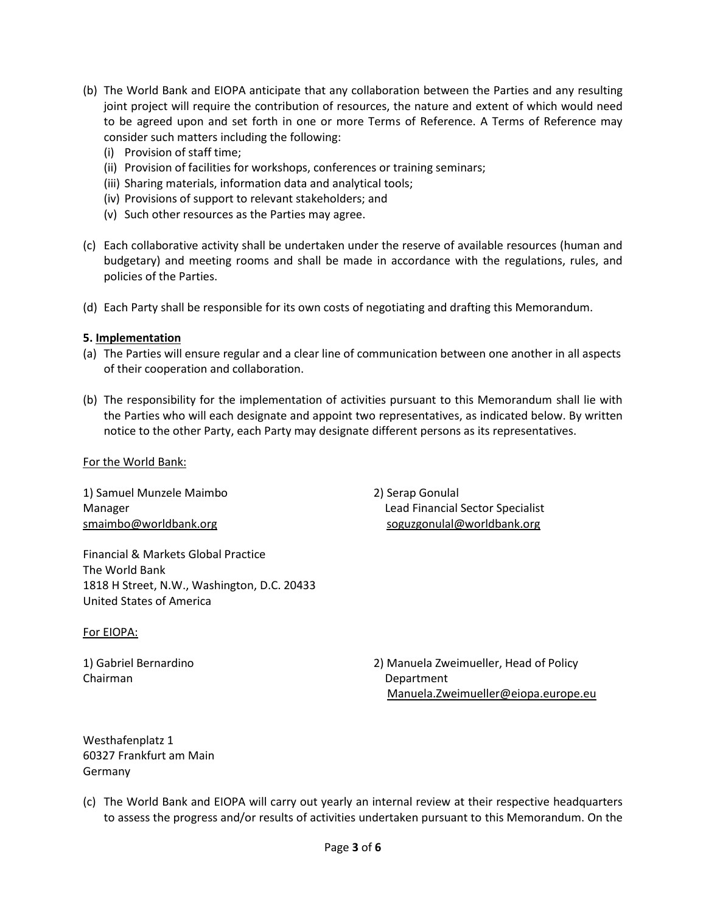- (b) The World Bank and EIOPA anticipate that any collaboration between the Parties and any resulting joint project will require the contribution of resources, the nature and extent of which would need to be agreed upon and set forth in one or more Terms of Reference. A Terms of Reference may consider such matters including the following:
	- (i) Provision of staff time;
	- (ii) Provision of facilities for workshops, conferences or training seminars;
	- (iii) Sharing materials, information data and analytical tools;
	- (iv) Provisions of support to relevant stakeholders; and
	- (v) Such other resources as the Parties may agree.
- (c) Each collaborative activity shall be undertaken under the reserve of available resources (human and budgetary) and meeting rooms and shall be made in accordance with the regulations, rules, and policies of the Parties.
- (d) Each Party shall be responsible for its own costs of negotiating and drafting this Memorandum.

## **5. Implementation**

- (a) The Parties will ensure regular and a clear line of communication between one another in all aspects of their cooperation and collaboration.
- (b) The responsibility for the implementation of activities pursuant to this Memorandum shall lie with the Parties who will each designate and appoint two representatives, as indicated below. By written notice to the other Party, each Party may designate different persons as its representatives.

#### For the World Bank:

1) Samuel Munzele Maimbo 2) Serap Gonulal

Financial & Markets Global Practice The World Bank 1818 H Street, N.W., Washington, D.C. 20433 United States of America

#### For EIOPA:

Chairman Department

Manager Lead Financial Sector Specialist [smaimbo@worldbank.org](mailto:smaimbo@worldbank.org) soguzgonulal@worldbank.org soguzgonulal

1) Gabriel Bernardino 2) Manuela Zweimueller, Head of Policy Manuela.Zweimueller@eiopa.europe.eu

Westhafenplatz 1 60327 Frankfurt am Main Germany

(c) The World Bank and EIOPA will carry out yearly an internal review at their respective headquarters to assess the progress and/or results of activities undertaken pursuant to this Memorandum. On the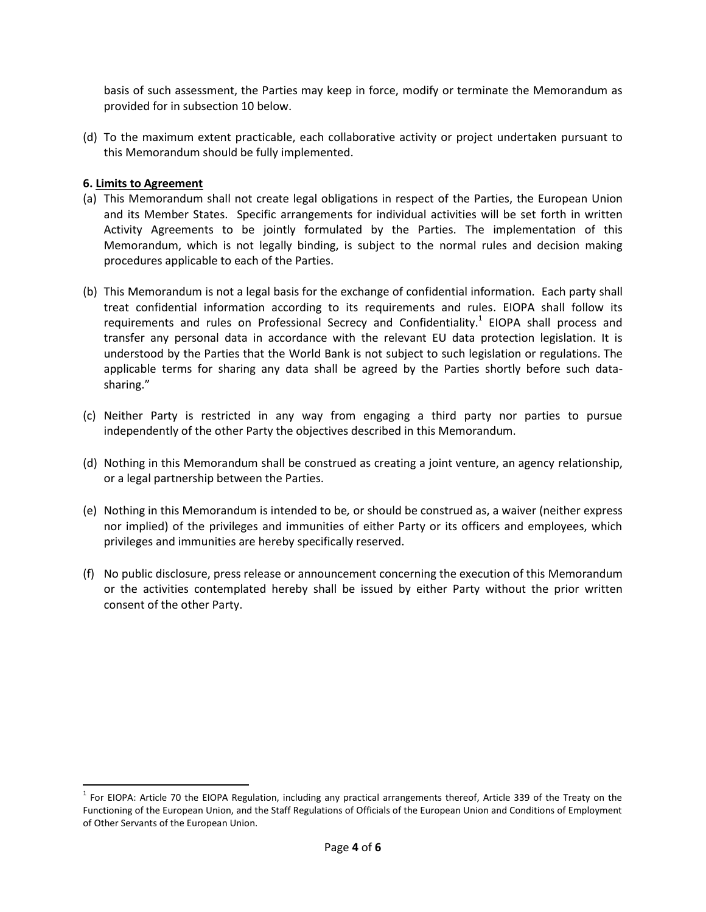basis of such assessment, the Parties may keep in force, modify or terminate the Memorandum as provided for in subsection 10 below.

(d) To the maximum extent practicable, each collaborative activity or project undertaken pursuant to this Memorandum should be fully implemented.

## **6. Limits to Agreement**

l

- (a) This Memorandum shall not create legal obligations in respect of the Parties, the European Union and its Member States. Specific arrangements for individual activities will be set forth in written Activity Agreements to be jointly formulated by the Parties. The implementation of this Memorandum, which is not legally binding, is subject to the normal rules and decision making procedures applicable to each of the Parties.
- (b) This Memorandum is not a legal basis for the exchange of confidential information. Each party shall treat confidential information according to its requirements and rules. EIOPA shall follow its requirements and rules on Professional Secrecy and Confidentiality.<sup>1</sup> EIOPA shall process and transfer any personal data in accordance with the relevant EU data protection legislation. It is understood by the Parties that the World Bank is not subject to such legislation or regulations. The applicable terms for sharing any data shall be agreed by the Parties shortly before such datasharing."
- (c) Neither Party is restricted in any way from engaging a third party nor parties to pursue independently of the other Party the objectives described in this Memorandum.
- (d) Nothing in this Memorandum shall be construed as creating a joint venture, an agency relationship, or a legal partnership between the Parties.
- (e) Nothing in this Memorandum is intended to be*,* or should be construed as, a waiver (neither express nor implied) of the privileges and immunities of either Party or its officers and employees, which privileges and immunities are hereby specifically reserved.
- (f) No public disclosure, press release or announcement concerning the execution of this Memorandum or the activities contemplated hereby shall be issued by either Party without the prior written consent of the other Party.

 $1$  For EIOPA: Article 70 the EIOPA Regulation, including any practical arrangements thereof, Article 339 of the Treaty on the Functioning of the European Union, and the Staff Regulations of Officials of the European Union and Conditions of Employment of Other Servants of the European Union.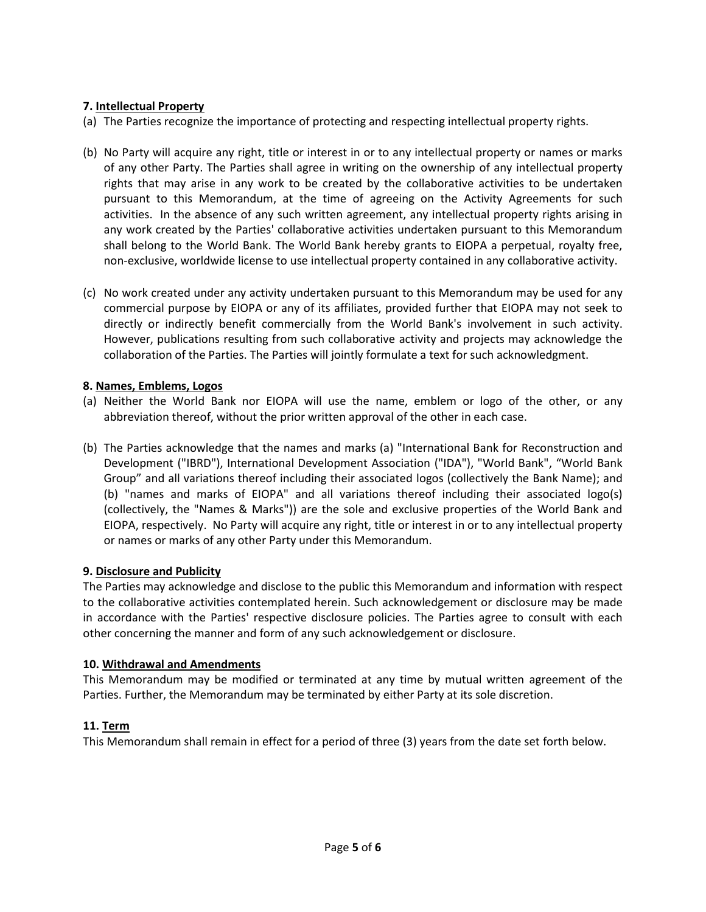## **7. Intellectual Property**

(a) The Parties recognize the importance of protecting and respecting intellectual property rights.

- (b) No Party will acquire any right, title or interest in or to any intellectual property or names or marks of any other Party. The Parties shall agree in writing on the ownership of any intellectual property rights that may arise in any work to be created by the collaborative activities to be undertaken pursuant to this Memorandum, at the time of agreeing on the Activity Agreements for such activities. In the absence of any such written agreement, any intellectual property rights arising in any work created by the Parties' collaborative activities undertaken pursuant to this Memorandum shall belong to the World Bank. The World Bank hereby grants to EIOPA a perpetual, royalty free, non-exclusive, worldwide license to use intellectual property contained in any collaborative activity.
- (c) No work created under any activity undertaken pursuant to this Memorandum may be used for any commercial purpose by EIOPA or any of its affiliates, provided further that EIOPA may not seek to directly or indirectly benefit commercially from the World Bank's involvement in such activity. However, publications resulting from such collaborative activity and projects may acknowledge the collaboration of the Parties. The Parties will jointly formulate a text for such acknowledgment.

## **8. Names, Emblems, Logos**

- (a) Neither the World Bank nor EIOPA will use the name, emblem or logo of the other, or any abbreviation thereof, without the prior written approval of the other in each case.
- (b) The Parties acknowledge that the names and marks (a) "International Bank for Reconstruction and Development ("IBRD"), International Development Association ("IDA"), "World Bank", "World Bank Group" and all variations thereof including their associated logos (collectively the Bank Name); and (b) "names and marks of EIOPA" and all variations thereof including their associated logo(s) (collectively, the "Names & Marks")) are the sole and exclusive properties of the World Bank and EIOPA, respectively. No Party will acquire any right, title or interest in or to any intellectual property or names or marks of any other Party under this Memorandum.

## **9. Disclosure and Publicity**

The Parties may acknowledge and disclose to the public this Memorandum and information with respect to the collaborative activities contemplated herein. Such acknowledgement or disclosure may be made in accordance with the Parties' respective disclosure policies. The Parties agree to consult with each other concerning the manner and form of any such acknowledgement or disclosure.

## **10. Withdrawal and Amendments**

This Memorandum may be modified or terminated at any time by mutual written agreement of the Parties. Further, the Memorandum may be terminated by either Party at its sole discretion.

# **11. Term**

This Memorandum shall remain in effect for a period of three (3) years from the date set forth below.